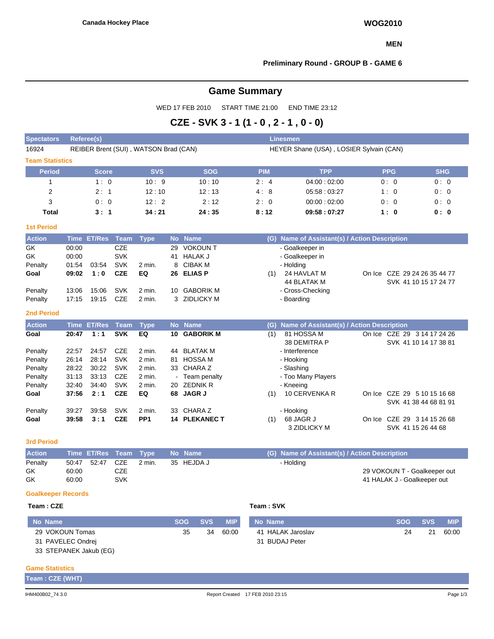#### **MEN**

## **Preliminary Round - GROUP B - GAME 6**

# **Game Summary**

WED 17 FEB 2010 START TIME 21:00 END TIME 23:12

# **CZE - SVK 3 - 1 (1 - 0 , 2 - 1 , 0 - 0)**

| <b>Spectators</b>         | <b>Referee(s)</b><br><b>Linesmen</b> |               |             |                                       |                 |                          |            |                |                                               |  |                                                      |            |            |
|---------------------------|--------------------------------------|---------------|-------------|---------------------------------------|-----------------|--------------------------|------------|----------------|-----------------------------------------------|--|------------------------------------------------------|------------|------------|
| 16924                     |                                      |               |             | REIBER Brent (SUI), WATSON Brad (CAN) |                 |                          |            |                | HEYER Shane (USA), LOSIER Sylvain (CAN)       |  |                                                      |            |            |
| <b>Team Statistics</b>    |                                      |               |             |                                       |                 |                          |            |                |                                               |  |                                                      |            |            |
| <b>Period</b>             |                                      | <b>Score</b>  |             | <b>SVS</b>                            |                 | <b>SOG</b>               |            | <b>PIM</b>     | <b>TPP</b>                                    |  | <b>PPG</b>                                           |            | <b>SHG</b> |
| $\mathbf{1}$              |                                      | 1:0           |             | 10:9                                  |                 | 10:10                    |            | 2:4            | 04:00:02:00                                   |  | 0:0                                                  |            | 0:0        |
| $\overline{2}$            |                                      | 2:1           |             | 12:10                                 |                 | 12:13                    |            | 4:8            | 05:58:03:27                                   |  | 1:0                                                  |            | 0:0        |
| 3                         |                                      | 0:0           |             | 12:2                                  |                 | 2:12                     |            | 2:0            | 00:00:02:00                                   |  | 0:0                                                  |            | 0:0        |
| <b>Total</b>              |                                      | 3:1           |             | 34:21                                 |                 | 24:35                    |            | 8:12           | 09:58:07:27                                   |  | 1:0                                                  |            | 0: 0       |
| <b>1st Period</b>         |                                      |               |             |                                       |                 |                          |            |                |                                               |  |                                                      |            |            |
| <b>Action</b>             | <b>Time</b>                          | <b>ET/Res</b> | <b>Team</b> | <b>Type</b>                           | <b>No</b>       | <b>Name</b>              |            |                | (G) Name of Assistant(s) / Action Description |  |                                                      |            |            |
| GK                        | 00:00                                |               | <b>CZE</b>  |                                       | 29              | <b>VOKOUNT</b>           |            |                | - Goalkeeper in                               |  |                                                      |            |            |
| GK                        | 00:00                                |               | <b>SVK</b>  |                                       | 41              | <b>HALAK J</b>           |            |                | - Goalkeeper in                               |  |                                                      |            |            |
| Penalty                   | 01:54                                | 03:54         | <b>SVK</b>  | 2 min.                                | 8               | <b>CIBAK M</b>           |            |                | - Holding                                     |  |                                                      |            |            |
| Goal                      | 09:02                                | 1:0           | <b>CZE</b>  | EQ                                    | 26              | <b>ELIAS P</b>           |            | (1)            | 24 HAVLAT M                                   |  | On Ice CZE 29 24 26 35 44 77                         |            |            |
| Penalty                   | 13:06                                | 15:06         | <b>SVK</b>  | 2 min.                                | 10 <sup>1</sup> | <b>GABORIK M</b>         |            |                | 44 BLATAK M<br>- Cross-Checking               |  | SVK 41 10 15 17 24 77                                |            |            |
| Penalty                   | 17:15                                | 19:15         | <b>CZE</b>  | 2 min.                                | 3               | <b>ZIDLICKY M</b>        |            |                | - Boarding                                    |  |                                                      |            |            |
|                           |                                      |               |             |                                       |                 |                          |            |                |                                               |  |                                                      |            |            |
| <b>2nd Period</b>         |                                      |               |             |                                       |                 |                          |            |                |                                               |  |                                                      |            |            |
| <b>Action</b>             | <b>Time</b>                          | <b>ET/Res</b> | <b>Team</b> | <b>Type</b>                           | <b>No</b>       | <b>Name</b>              |            | (G)            | Name of Assistant(s) / Action Description     |  |                                                      |            |            |
| Goal                      | 20:47                                | 1:1           | <b>SVK</b>  | EQ                                    | 10              | <b>GABORIK M</b>         |            | (1)            | 81 HOSSA M<br>38 DEMITRA P                    |  | On Ice CZE 29 3 14 17 24 26<br>SVK 41 10 14 17 38 81 |            |            |
| Penalty                   | 22:57                                | 24:57         | <b>CZE</b>  | 2 min.                                | 44              | <b>BLATAK M</b>          |            |                | - Interference                                |  |                                                      |            |            |
| Penalty                   | 26:14                                | 28:14         | <b>SVK</b>  | 2 min.                                | 81              | <b>HOSSA M</b>           |            |                | - Hooking                                     |  |                                                      |            |            |
| Penalty                   | 28:22                                | 30:22         | <b>SVK</b>  | 2 min.                                | 33              | CHARA Z                  |            |                | - Slashing                                    |  |                                                      |            |            |
| Penalty                   | 31:13                                | 33:13         | <b>CZE</b>  | 2 min.                                |                 | Team penalty             |            |                | - Too Many Players                            |  |                                                      |            |            |
| Penalty                   | 32:40                                | 34:40         | <b>SVK</b>  | 2 min.                                | 20              | <b>ZEDNIK R</b>          |            |                | - Kneeing                                     |  |                                                      |            |            |
| Goal                      | 37:56                                | 2:1           | <b>CZE</b>  | EQ                                    |                 | 68 JAGR J                |            | (1)            | 10 CERVENKA R                                 |  | On Ice CZE 29 5 10 15 16 68                          |            |            |
| Penalty                   | 39:27                                | 39.58         | <b>SVK</b>  | 2 min.                                | 33              | CHARA Z                  |            |                | - Hooking                                     |  | SVK 41 38 44 68 81 91                                |            |            |
| Goal                      | 39:58                                | 3:1           | <b>CZE</b>  | PP <sub>1</sub>                       |                 | <b>14 PLEKANEC T</b>     |            | (1)            | 68 JAGR J                                     |  | On Ice CZE 29 3 14 15 26 68                          |            |            |
|                           |                                      |               |             |                                       |                 |                          |            |                | 3 ZIDLICKY M                                  |  | SVK 41 15 26 44 68                                   |            |            |
| <b>3rd Period</b>         |                                      |               |             |                                       |                 |                          |            |                |                                               |  |                                                      |            |            |
| <b>Action</b>             | <b>Time</b>                          | <b>ET/Res</b> | <b>Team</b> | <b>Type</b>                           | <b>No</b>       | <b>Name</b>              |            | (G)            | Name of Assistant(s) / Action Description     |  |                                                      |            |            |
| Penalty                   | 50:47                                | 52:47         | <b>CZE</b>  | 2 min.                                |                 | 35 HEJDA J               |            |                | - Holding                                     |  |                                                      |            |            |
| GK                        | 60:00                                |               | <b>CZE</b>  |                                       |                 |                          |            |                |                                               |  | 29 VOKOUN T - Goalkeeper out                         |            |            |
| GK                        | 60:00                                |               | <b>SVK</b>  |                                       |                 |                          |            |                |                                               |  | 41 HALAK J - Goalkeeper out                          |            |            |
| <b>Goalkeeper Records</b> |                                      |               |             |                                       |                 |                          |            |                |                                               |  |                                                      |            |            |
| Team: CZE                 |                                      |               |             |                                       |                 |                          |            | Team: SVK      |                                               |  |                                                      |            |            |
| <b>No Name</b>            |                                      |               |             |                                       |                 | <b>SOG</b><br><b>SVS</b> | <b>MIP</b> | <b>No Name</b> |                                               |  | <b>SOG</b>                                           | <b>SVS</b> | <b>MIP</b> |
| 29 VOKOUN Tomas           |                                      |               |             |                                       |                 | 35<br>34                 | 60:00      |                | 41 HALAK Jaroslav                             |  | 24                                                   | 21         | 60:00      |

**Game Statistics**

**Team : CZE (WHT)**

31 PAVELEC Ondrej 33 STEPANEK Jakub (EG) 31 BUDAJ Peter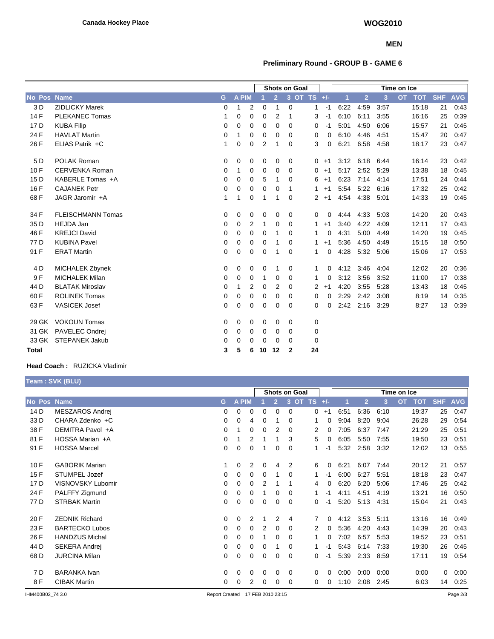### **MEN**

# **Preliminary Round - GROUP B - GAME 6**

|                 |                          |             |             |             | Shots on Goal |                |              |                |          | Time on Ice |                |      |                         |            |            |
|-----------------|--------------------------|-------------|-------------|-------------|---------------|----------------|--------------|----------------|----------|-------------|----------------|------|-------------------------|------------|------------|
| No Pos          | <b>Name</b>              | G           | A PIM       |             |               | $\overline{2}$ |              | 3 OT TS +/-    |          | и           | $\overline{2}$ | 3    | <b>OT</b><br><b>TOT</b> | <b>SHF</b> | <b>AVG</b> |
| 3 D             | <b>ZIDLICKY Marek</b>    | $\Omega$    | 1           | 2           | 0             | 1              | $\mathbf 0$  | 1              | $-1$     | 6:22        | 4:59           | 3:57 | 15:18                   | 21         | 0:43       |
| 14 F            | <b>PLEKANEC Tomas</b>    | 1           | 0           | 0           | 0             | $\overline{2}$ | 1            | 3              | $-1$     | 6:10        | 6:11           | 3:55 | 16:16                   | 25         | 0:39       |
| 17 <sub>D</sub> | <b>KUBA Filip</b>        | 0           | 0           | 0           | 0             | 0              | 0            | 0              | $-1$     | 5:01        | 4:50           | 6:06 | 15:57                   | 21         | 0:45       |
| 24 F            | <b>HAVLAT Martin</b>     | 0           | 1           | 0           | 0             | 0              | 0            | 0              | 0        | 6:10        | 4:46           | 4:51 | 15:47                   | 20         | 0:47       |
| 26 F            | ELIAS Patrik +C          | 1           | 0           | 0           | 2             | 1              | $\Omega$     | 3              | $\Omega$ | 6:21        | 6:58           | 4:58 | 18:17                   | 23         | 0:47       |
| 5 D             | <b>POLAK Roman</b>       | 0           | 0           | 0           | 0             | 0              | 0            | 0              | $+1$     | 3:12        | 6:18           | 6:44 | 16:14                   | 23         | 0:42       |
| 10F             | <b>CERVENKA Roman</b>    | 0           | 1           | 0           | 0             | 0              | 0            | 0              | $+1$     | 5:17        | 2:52           | 5:29 | 13:38                   | 18         | 0:45       |
| 15 D            | KABERLE Tomas +A         | 0           | 0           | 0           | 5             | 1              | 0            | 6              | $+1$     | 6:23        | 7:14           | 4:14 | 17:51                   | 24         | 0:44       |
| 16 F            | <b>CAJANEK Petr</b>      | 0           | 0           | 0           | 0             | 0              | -1           | 1              | $+1$     | 5:54        | 5:22           | 6:16 | 17:32                   | 25         | 0:42       |
| 68F             | JAGR Jaromir +A          | 1           | 1           | 0           | 1             | 1              | 0            | $\overline{2}$ | $+1$     | 4:54        | 4:38           | 5:01 | 14:33                   | 19         | 0:45       |
| 34 F            | <b>FLEISCHMANN Tomas</b> | 0           | 0           | 0           | 0             | 0              | 0            | 0              | 0        | 4:44        | 4:33           | 5:03 | 14:20                   | 20         | 0:43       |
| 35 D            | <b>HEJDA Jan</b>         | 0           | 0           | 2           | 1             | 0              | 0            | 1              | $+1$     | 3:40        | 4:22           | 4:09 | 12:11                   | 17         | 0:43       |
| 46 F            | <b>KREJCI David</b>      | 0           | 0           | 0           | $\Omega$      | 1              | $\Omega$     | 1              | 0        | 4:31        | 5:00           | 4:49 | 14:20                   | 19         | 0:45       |
| 77 D            | <b>KUBINA Pavel</b>      | 0           | $\mathbf 0$ | 0           | 0             | 1              | 0            | 1              | $+1$     | 5:36        | 4:50           | 4:49 | 15:15                   | 18         | 0:50       |
| 91 F            | <b>ERAT Martin</b>       | 0           | $\mathbf 0$ | $\mathbf 0$ | 0             | 1              | 0            | 1              | 0        | 4:28        | 5:32           | 5:06 | 15:06                   | 17         | 0.53       |
| 4 D             | MICHALEK Zbynek          | $\mathbf 0$ | 0           | 0           | 0             | 1              | 0            | 1              | 0        | 4:12        | 3:46           | 4:04 | 12:02                   | 20         | 0:36       |
| 9F              | <b>MICHALEK Milan</b>    | 0           | 0           | 0           | 1             | 0              | 0            | 1              | 0        | 3:12        | 3:56           | 3:52 | 11:00                   | 17         | 0:38       |
| 44 D            | <b>BLATAK Miroslav</b>   | 0           | 1           | 2           | 0             | 2              | 0            | 2              | $+1$     | 4:20        | 3:55           | 5:28 | 13:43                   | 18         | 0:45       |
| 60F             | <b>ROLINEK Tomas</b>     | 0           | $\mathbf 0$ | 0           | 0             | 0              | 0            | 0              | 0        | 2:29        | 2:42           | 3:08 | 8:19                    | 14         | 0:35       |
| 63 F            | <b>VASICEK Josef</b>     | $\mathbf 0$ | $\mathbf 0$ | 0           | 0             | $\mathbf 0$    | 0            | 0              | 0        | 2:42        | 2:16           | 3:29 | 8:27                    | 13         | 0:39       |
| 29 GK           | <b>VOKOUN Tomas</b>      | 0           | 0           | 0           | 0             | 0              | 0            | 0              |          |             |                |      |                         |            |            |
| 31 GK           | PAVELEC Ondrei           | 0           | $\mathbf 0$ | 0           | 0             | 0              | 0            | 0              |          |             |                |      |                         |            |            |
| 33 GK           | <b>STEPANEK Jakub</b>    | 0           | 0           | 0           | 0             | 0              | 0            | 0              |          |             |                |      |                         |            |            |
| <b>Total</b>    |                          | 3           | 5           | 6           | 10            | 12             | $\mathbf{2}$ | 24             |          |             |                |      |                         |            |            |

## **Head Coach :** RUZICKA Vladimir

|             | Team: SVK (BLU)       |          |   |              |                |                      |   |          |         |          |             |                |      |           |            |             |            |
|-------------|-----------------------|----------|---|--------------|----------------|----------------------|---|----------|---------|----------|-------------|----------------|------|-----------|------------|-------------|------------|
|             |                       |          |   |              |                | <b>Shots on Goal</b> |   |          |         |          | Time on Ice |                |      |           |            |             |            |
| No Pos Name |                       | G        |   | <b>A PIM</b> |                |                      |   |          | 3 OT TS | $+/-$    |             | $\overline{2}$ | 3    | <b>OT</b> | <b>TOT</b> | <b>SHF</b>  | <b>AVG</b> |
| 14 D        | MESZAROS Andrej       | 0        |   | 0            | 0              | 0                    | 0 | 0        | 0       | $+1$     | 6:51        | 6:36           | 6:10 |           | 19:37      | 25          | 0:47       |
| 33 D        | CHARA Zdenko +C       |          | 0 | 0            | 4              | 0                    | 1 | $\Omega$ | 1       | $\Omega$ | 9:04        | 8:20           | 9:04 |           | 26:28      | 29          | 0:54       |
| 38 F        | DEMITRA Pavol +A      |          | 0 |              | 0              | 0                    | 2 | $\Omega$ | 2       | 0        | 7:05        | 6:37           | 7:47 |           | 21:29      | 25          | 0:51       |
| 81 F        | HOSSA Marian +A       | $\Omega$ |   |              | $\overline{2}$ |                      |   | 3        | 5       | 0        | 6:05        | 5:50           | 7:55 |           | 19:50      | 23          | 0:51       |
| 91 F        | <b>HOSSA Marcel</b>   |          | 0 | 0            | 0              |                      | 0 | $\Omega$ | 1       | -1       | 5:32        | 2:58           | 3:32 |           | 12:02      | 13          | 0:55       |
| 10F         | <b>GABORIK Marian</b> |          |   | 0            | 2              | 0                    | 4 | 2        | 6       | 0        | 6:21        | 6:07           | 7:44 |           | 20:12      | 21          | 0:57       |
| 15F         | STUMPEL Jozef         |          | 0 | 0            | 0              | 0                    |   | $\Omega$ | 1       | -1       | 6:00        | 6:27           | 5:51 |           | 18:18      | 23          | 0:47       |
| 17 D        | VISNOVSKY Lubomir     | 0        |   | 0            | 0              | 2                    |   |          | 4       | $\Omega$ | 6:20        | 6:20           | 5:06 |           | 17:46      | 25          | 0:42       |
| 24 F        | PALFFY Zigmund        | 0        |   | 0            | 0              |                      | 0 | $\Omega$ | 1       | -1       | 4:11        | 4:51           | 4:19 |           | 13:21      | 16          | 0:50       |
| 77 D        | <b>STRBAK Martin</b>  |          | 0 | 0            | 0              | 0                    | 0 | 0        | 0       | -1       | 5:20        | 5:13           | 4:31 |           | 15:04      | 21          | 0:43       |
| 20 F        | <b>ZEDNIK Richard</b> |          | 0 | 0            | 2              |                      | 2 | 4        | 7       | $\Omega$ | 4:12        | 3:53           | 5:11 |           | 13:16      | 16          | 0:49       |
| 23 F        | <b>BARTECKO Lubos</b> |          | 0 | 0            | 0              | 2                    | 0 | $\Omega$ | 2       | $\Omega$ | 5:36        | 4:20           | 4:43 |           | 14:39      | 20          | 0:43       |
| 26 F        | <b>HANDZUS Michal</b> | 0        |   | 0            | $\mathbf 0$    |                      | 0 | 0        | 1       | 0        | 7:02        | 6:57           | 5:53 |           | 19:52      | 23          | 0:51       |
| 44 D        | <b>SEKERA Andrej</b>  | $\Omega$ |   | 0            | 0              | 0                    |   | $\Omega$ | 1       | -1       | 5:43        | 6:14           | 7:33 |           | 19:30      | 26          | 0:45       |
| 68 D        | <b>JURCINA Milan</b>  |          | 0 | 0            | 0              | 0                    | 0 | $\Omega$ | 0       | -1       | 5:39        | 2:33           | 8:59 |           | 17:11      | 19          | 0:54       |
| 7 D         | <b>BARANKA Ivan</b>   |          | 0 | 0            | 0              | 0                    | 0 | 0        | 0       | 0        | 0:00        | 0:00           | 0:00 |           | 0:00       | $\mathbf 0$ | 0:00       |
| 8 F         | <b>CIBAK Martin</b>   |          | 0 | 0            | 2              | 0                    | 0 | $\Omega$ | 0       | 0        | 1:10        | 2:08           | 2:45 |           | 6:03       | 14          | 0:25       |